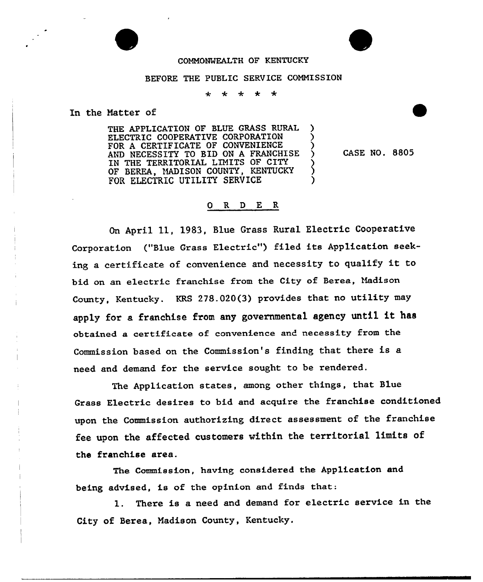## COMMONWEALTH OF KENTUCKY

## BEFORE THE PUBLIC SERVICE CONNISSION

 $\ddot{\textbf{r}}$  $\ddot{\textbf{r}}$  $\star$  $\ddot{\phantom{1}}$ 

In the Natter of

THE APPLICATION OF BLUE GRASS RURAL ELECTRIC COOPERATIVE CORPORATION FOR A CERTIFICATE OF CONVENIENCE AND NECESSITY TO BID ON A FRANCHISE IN THE TERRITORIAL LINITS OF CITY OF BEREA, MADISON COUNTY, KENTUCKY FOR ELECTRIC UTILITY SERVICE

CASE NO. 8805

## 0 R D E R

On April 11, 1983, Blue Grass Rural Electric Cooperative Corporation ("Blue Grass Electric") filed its Application seeking <sup>a</sup> cextificate of convenience and necessity to qualify it to bid on an electric franchise from the City of Berea, Madison County, Kentucky. KRS 278.020(3} provides that no utility may apply for a franchise from any governmental agency until it has obtained a certificate of convenience and necessity from the Commission based on the Commission's finding that there is a need and demand for the service sought to be rendered,

The Application states, among other things, that Blue Grass Electric desires to bid and acquire the franchise conditioned upon the Commission authorizing direct assessment of the franchise fee upon the affected customers within the territorial limits of the franchise area.

The Commission, having considered the Application and being advised, is of the opinion and finds that:

1. There is a need and demand for electric service in the City of Berea, Nadison County, Kentucky.